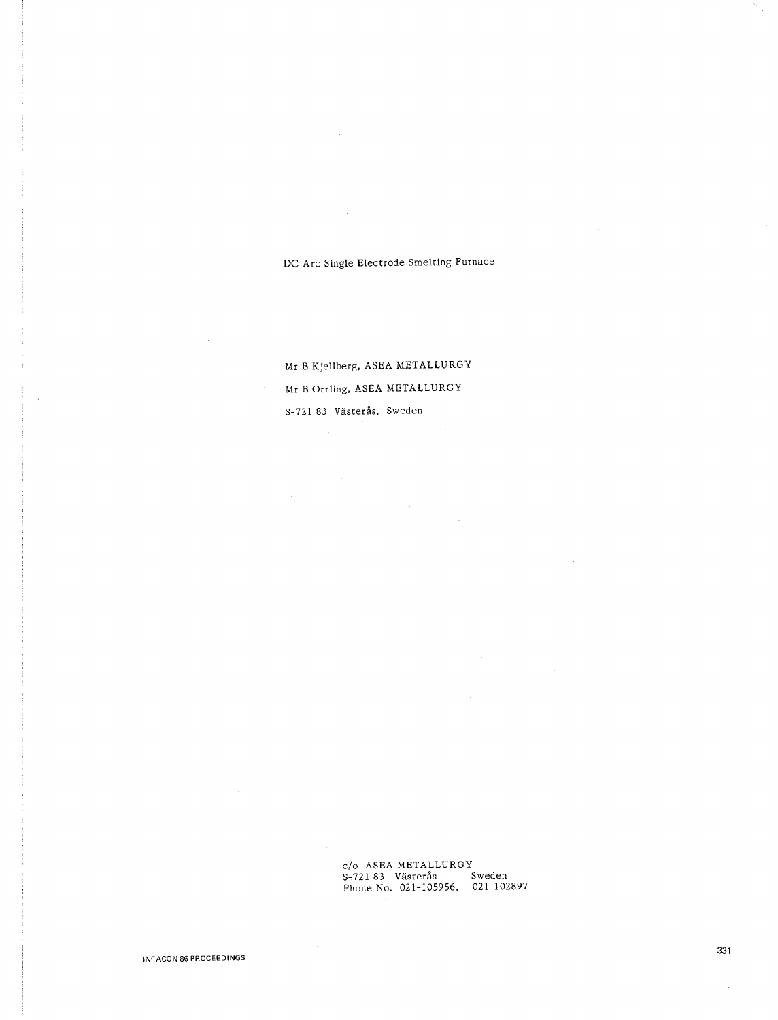DC Arc Single Electrode Smelting Furnace

Mr B Kjellberg, ASEA METALLURGY Mr B Orrling, ASEA METALLURGY S-721 83 Västerås, Sweden

 $\sim$ 

c/o ASEA METALLURGY S-721 83 Västerås Sweden Phone No. 021-105956, 021-102897  $\ddot{\phantom{1}}$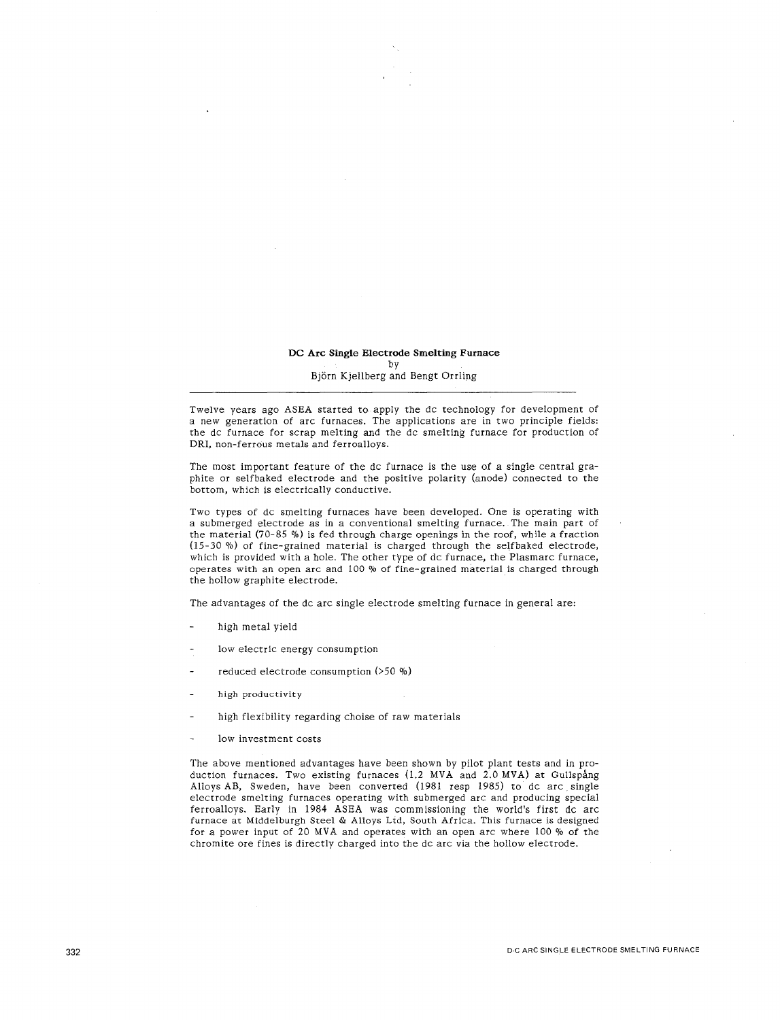#### **DC Arc Single Electrode Smelting Furnace**  by Bjorn Kjellberg and Bengt Orrling

Twelve years ago ASEA started to apply the de technology for development of a new generation of arc furnaces. The applications are in two principle fields: the de furnace for scrap melting and the de smelting furnace for production of DRI, non-ferrous metals and ferroalloys.

The most important feature of the de furnace is the use of a single central graphite or selfbaked electrode and the positive polarity (anode) connected to the bottom, which is electrically conductive.

Two types of de smelting furnaces have been developed. One is operating with a submerged electrode as in a conventional smelting furnace. The main part of the material (70-85  $\%$ ) is fed through charge openings in the roof, while a fraction (15-30 %) of fine-grained material is charged through the selfbaked electrode, which is provided with a hole. The other type of de furnace, the Plasmarc furnace, operates with an open arc and 100 % of fine-grained material is charged through the hollow graphite electrode.

The advantages of the de arc single electrode smelting furnace in general are:

- high metal yield
- low electric energy consumption
- reduced electrode consumption (>50 %)
- high productivity
- high flexibility regarding choise of raw materials
- low investment costs

The above mentioned advantages have been shown by pilot plant tests and in production furnaces. Two existing furnaces  $(1.2 \text{ MVA} \text{ and } 2.0 \text{ MVA})$  at Gullspang Alloys AB, Sweden, have been converted (1981 resp 1985) to de arc single electrode smelting furnaces operating with submerged arc and producing special ferroalloys. Early in 1984 ASEA was commissioning the world's first de arc furnace at Middelburgh Steel & Alloys Ltd, South Africa. This furnace is designed for a power input of 20 MVA and operates with an open arc where 100 % of the chromite ore fines is directly charged into the de arc via the hollow electrode.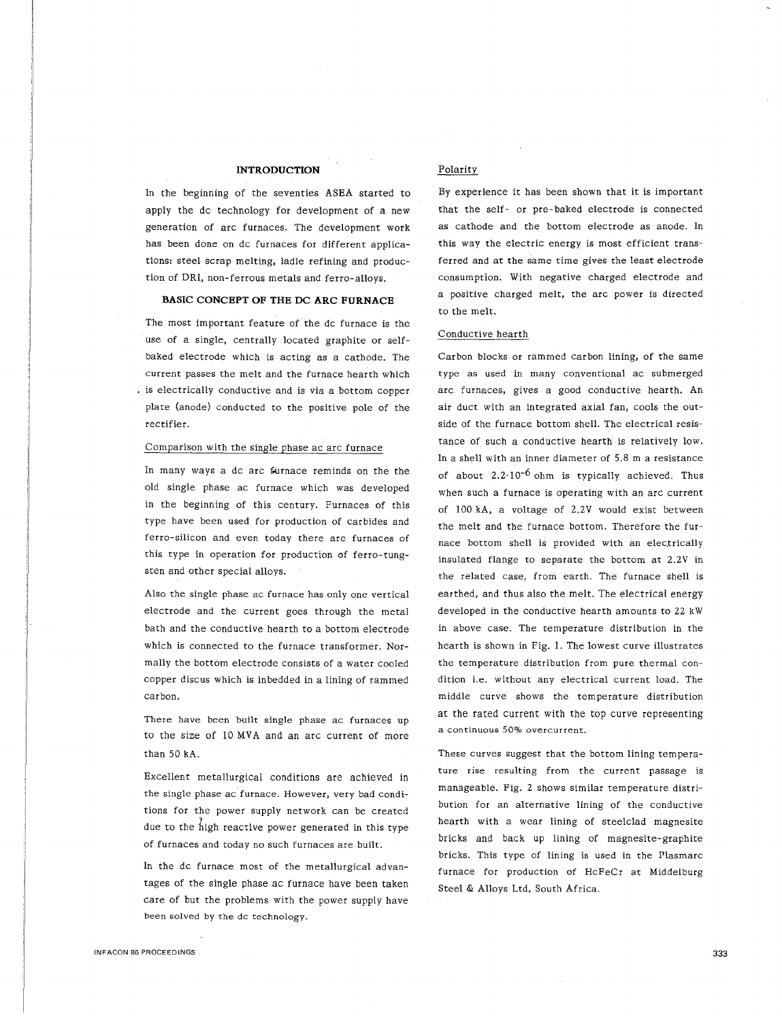## **INTRODUCTION**

In the beginning of the seventies ASEA started to apply the de technology for development of a new generation of arc furnaces. The development work has been done on de furnaces for different applications: steel scrap melting, ladle refining and production of DRI, non-ferrous metals and ferro-alloys.

# **BASIC CONCEPT OF THE DC ARC FURNACE**

The most important feature of the de furnace is the use of a single, centrally located graphite or selfbaked electrode which is acting as a cathode. The current passes the melt and the furnace hearth which . is electrically conductive and is via a bottom copper plate (anode) conducted to the positive pole of the rectifier.

#### Comparison with the single phase ac arc furnace

In many ways a dc arc furnace reminds on the the old single phase ac furnace which was developed in the beginning of this century. Furnaces of this type have been used for production of carbides and ferro-silicon and even today there are furnaces of this type in operation for production of ferro-tungsten and other special alloys.

Also the single phase ac furnace has only one vertical electrode and the current goes through the metal bath and the conductive hearth to a bottom electrode which is connected to the furnace transformer. Normally the bottom electrode consists of a water cooled copper discus which is inbedded in a lining of rammed carbon.

There have been built single phase ac furnaces up to the size of 10 MVA and an arc current of more than 50 kA.

Excellent metallurgical conditions are achieved in the single phase ac furnace. However, very bad conditions for the power supply network can be created due to the high reactive power generated in this type of furnaces and today no such furnaces are built.

In the de furnace most of the metallurgical advantages of the single phase ac furnace have been taken care of but the problems with the power supply have been solved by the de technology.

## Polarity

By experience it has been shown that it is important that the self- or pre- baked electrode is connected as cathode and the bottom electrode as anode. In this way the electric energy is most efficient transferred and at the same time gives the least electrode consumption. With negative charged electrode and a positive charged melt, the arc power is directed to the melt.

#### Conductive hearth

Carbon blocks or rammed carbon lining, of the same type as used in many conventional ac submerged arc furnaces, gives a good conductive hearth. An air duct with an integrated axial fan, cools the outside of the furnace bottom shell. The electrical resistance of such a conductive hearth is relatively low. In a shell with an inner diameter of 5.8 m a resistance of about  $2.2 \cdot 10^{-6}$  ohm is typically achieved. Thus when such a furnace is operating with an arc current of 100 kA, a voltage of 2.2V would exist between the melt and the furnace bottom. Therefore the furnace bottom shell is provided with an electrically insulated flange to separate the bottom at 2.2V in the related case, from earth. The furnace shell is earthed, and thus also the melt. The electrical energy developed in the conductive hearth amounts to 22 kW in above case. The temperature distribution in the hearth is shown in Fig. 1. The lowest curve illustrates the temperature distribution from pure thermal condition i.e. without any electrical current load. The middle curve shows the temperature distribution at the rated current with the top curve representing **a continuous 50% overcurrent.** 

These curves suggest that the bottom lining temperature rise resulting from the current passage is manageable. Fig. 2 shows similar temperature distribution for an alternative lining of the conductive hearth with a wear lining of steelclad magnesite bricks and back up lining of magnesite-graphite bricks. This type of lining is used in the Plasmarc furnace for production of HcFeCr at Middelburg Steel & Alloys Ltd, South Africa.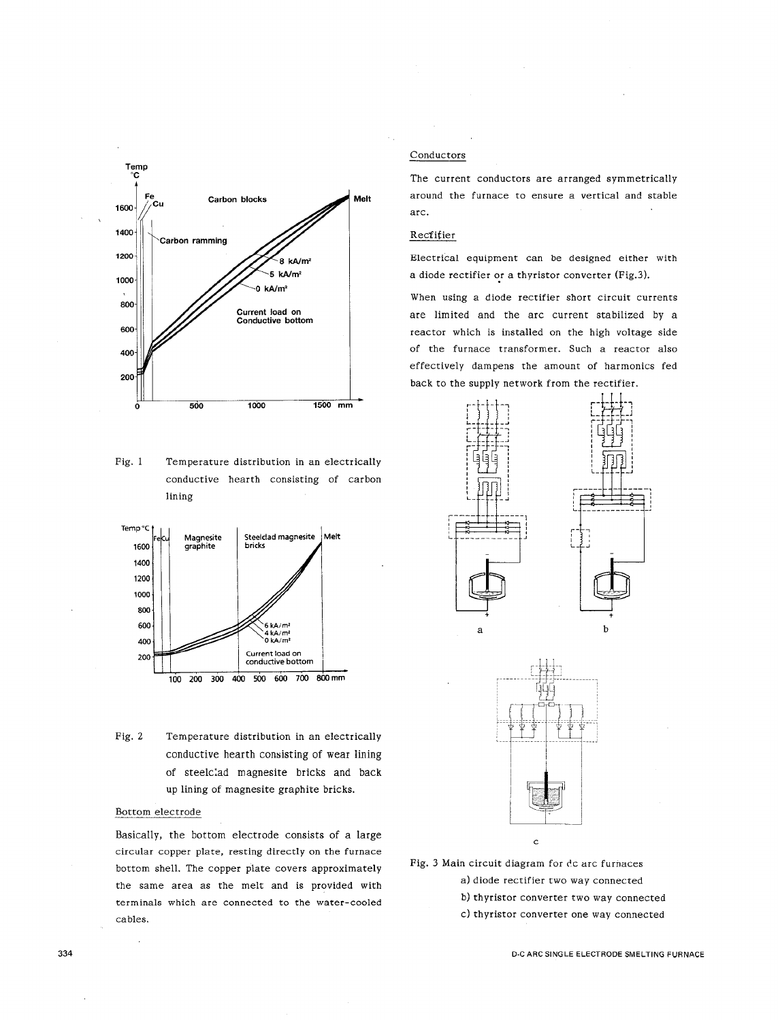

Fig. 1 Temperature distribution in an electrically conductive hearth consisting of carbon lining



Fig. 2 Temperature distribution in an electrically conductive hearth consisting of wear lining of steelc:ad magnesite bricks and back up lining of magnesite graphite bricks.

## Bottom electrode

Basically, the bottom electrode consists of a large circular copper plate, resting directly on the furnace bottom shell. The copper plate covers approximately the same area as the melt and is provided with terminals which are connected to the water-cooled cables.

# Conductors

The current conductors are arranged symmetrically around the furnace to ensure a vertical and stable arc.

## Recfitier

Electrical equipment can be designed either with a diode rectifier or a thyristor converter (Fig.3).

When using a diode rectifier short circuit currents are limited and the arc current stabilized by a reactor which is installed on the high voltage side of the furnace transformer. Such a reactor also effectively dampens the amount of harmonics fed back to the supply network from the rectifier.





Fig. 3 Main circuit diagram for dc arc furnaces a) diode rectifier two way connected b) thyristor converter two way connected c) thyristor converter one way connected

#### D-C ARC SINGLE ELECTRODE SMELTING FURNACE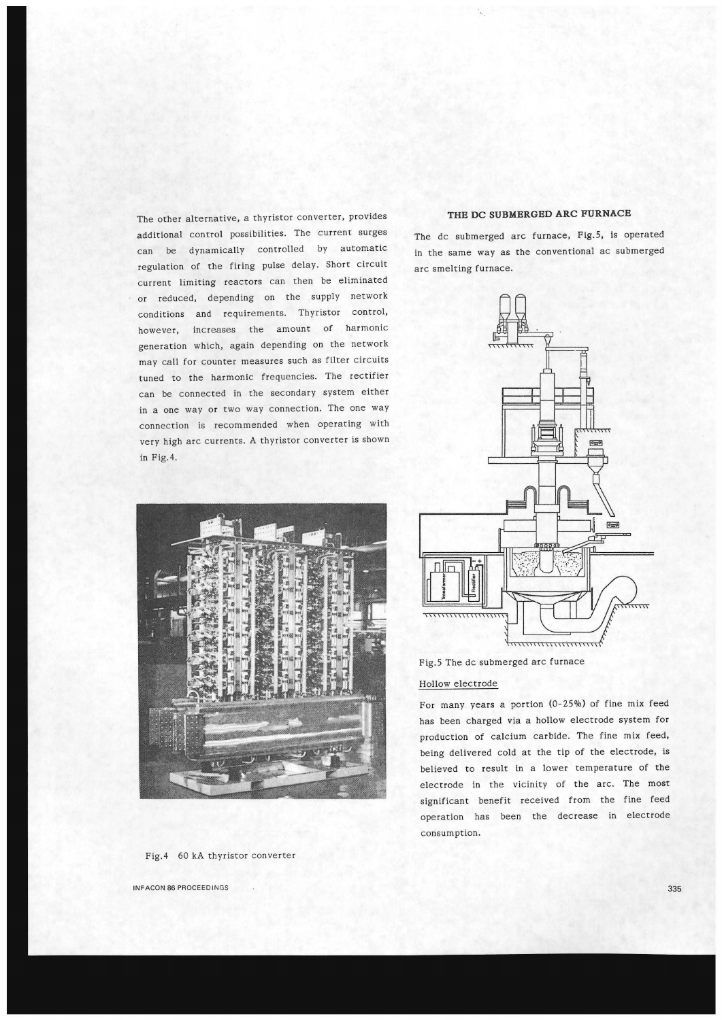The other alternative, a thyristor converter, provides additional control possibilities. The current surges can be dynamically controlled by automatic regulation of the firing pulse delay. Short circuit current limiting reactors can then be eliminated or reduced, depending on the supply network conditions and requirements. Thyristor control, however, increases the amount of harmonic generation which, again depending on the network may call for counter measures such as filter circuits tuned to the harmonic frequencies. The rectifier can be connected in the secondary system either in a one way or two way connection. The one way connection is recommended when operating with very high arc currents. A thyristor converter is shown in Fig.4.



# Fig.4 60 kA thyristor converter

INFACON 86 PROCEEDINGS

# **THE DC SUBMERGED ARC FURNACE**

The de submerged arc furnace, Fig.5, is operated in the same way as the conventional ac submerged arc smelting furnace.



Fig.5 The de submerged arc furnace

## Hollow electrode

For many years a portion (0-25%) of fine mix feed has been charged via a hollow electrode system for production of calcium carbide. The fine mix feed, being delivered cold at the tip of the electrode, is believed to result in a lower temperature of the electrode in the vicinity of the arc. The most significant benefit received from the fine feed operation has been the decrease in electrode consumption.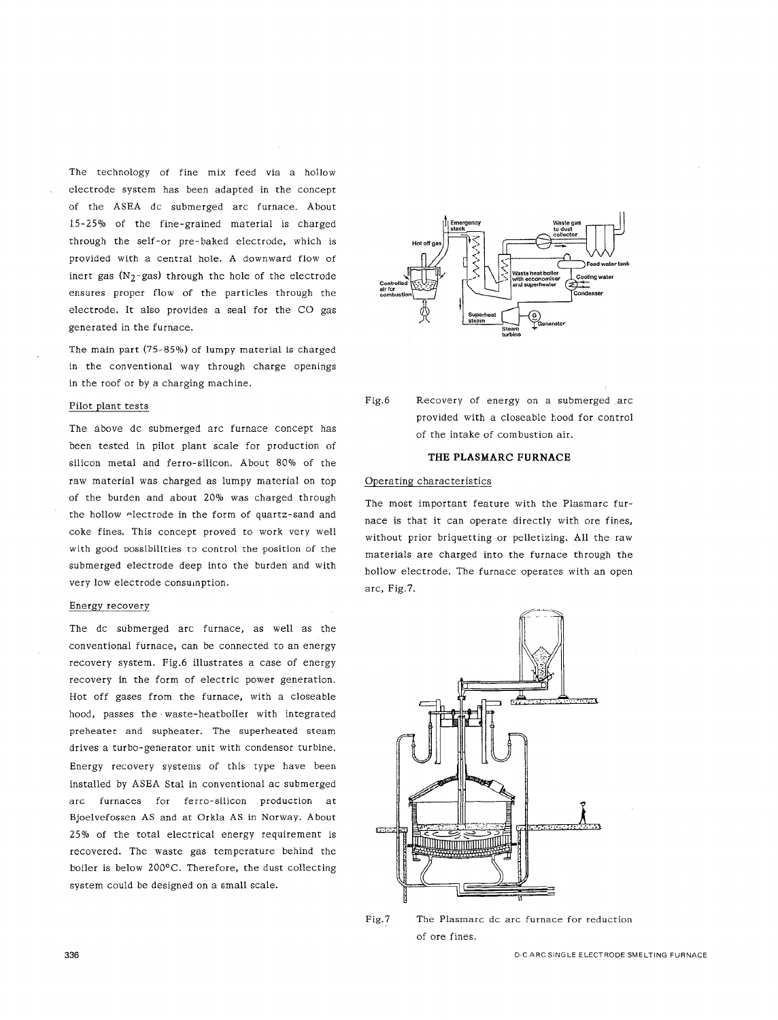The technology of fine mix feed via a hollow electrode system has been adapted in the concept of the ASEA de submerged arc furnace. About 15-25% of the fine-grained material is charged through the self-or pre- baked electrode, which is provided with a central hole. A downward flow of inert gas  $(N_2$ -gas) through the hole of the electrode ensures proper flow of the particles through the electrode. It also provides a seal for the CO gas generated in the furnace.

The main part (75-85%) of lumpy material is charged in the conventional way through charge openings in the roof or by a charging machine.

#### Pilot plant tests

The above dc submerged arc furnace concept has been tested in pilot plant scale for production of silicon metal and ferro-silicon. About 80% of the raw material was charged as lumpy material on top of the burden and about 20% was charged through the hollow electrode in the form of quartz-sand and coke fines. This concept proved to work very well with good possibilities to control the position of the submerged electrode deep into the burden and with very low electrode consumption.

## Energy recovery

The de submerged arc furnace, as well as the conventional furnace, can be connected to an energy recovery system. Fig.6 illustrates a case of energy recovery in the form of electric power generation. Hot off gases from the furnace, with a closeable hood, passes the -waste-heatboiler with integrated preheater and supheater. The superheated steam drives a turbo-generator unit with condensor turbine. Energy recovery systems of this type have been installed by ASEA Stal in conventional ac submerged arc furnaces for ferro-silicon production at Bjoelvefossen AS and at Orkla AS in Norway. About 25% of the total electrical energy requirement is recovered. The waste gas temperature behind the boiler is below 200°C. Therefore, the dust collecting system could be designed on a small scale.



Fig.6 Recovery of energy on a submerged arc provided with a closeable hood for control of the intake of combustion air.

#### **THE PLASMARC FURNACE**

## Operating characteristics

The most important feature with the Plasmarc furnace is that it can operate directly with ore fines, without prior briquetting or pelletizing. All the raw materials are charged into the furnace through the hollow electrode. The furnace operates with an open arc, Fig.7.



Fig.7 The Plasmarc de arc furnace for reduction of ore fines.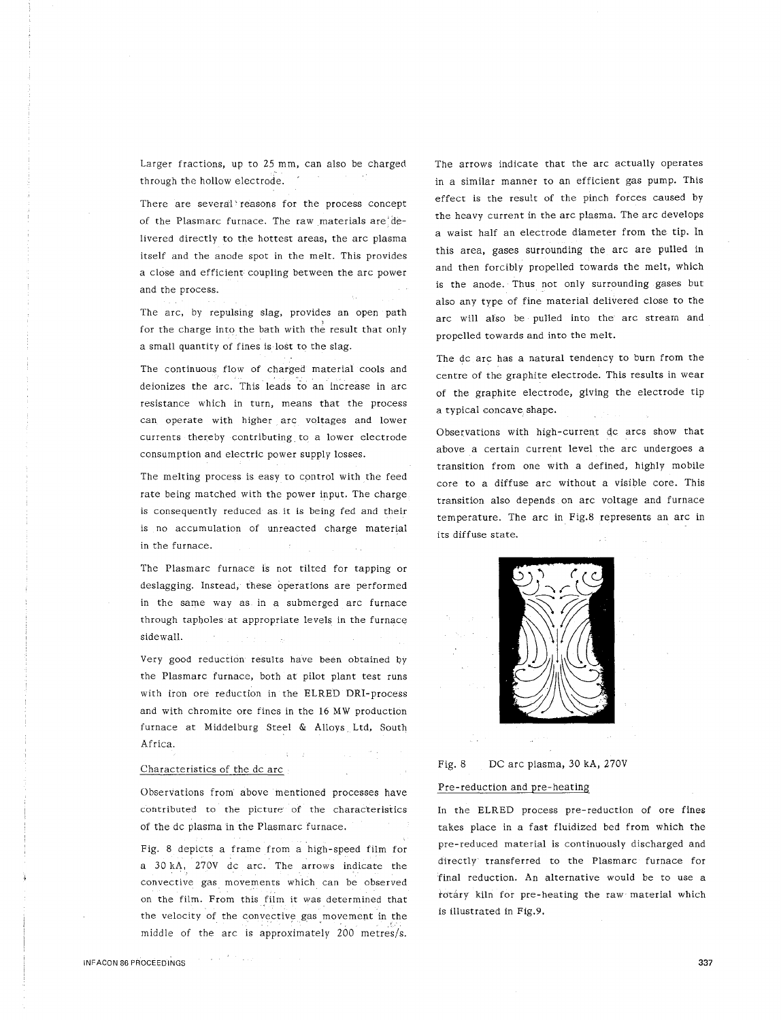Larger fractions, up to 25 mm, can also be charged through the hollow electrode.

There are several· reasons for the process concept of the Plasmarc furnace. The raw materials are'delivered directly to the hottest areas, the arc plasma itself and the anode spot in the melt. This provides a close and efficient coupling between the arc power and the process.

The arc, by repulsing slag, provides an open path for the charge into the bath with the result that only a small quantity of fines is lost to the slag.

The continuous flow of charged material cools and deionizes the arc. This leads to an increase in arc resistance which in turn, means that the process can operate with higher arc voltages and lower currents thereby contributing to a lower electrode consumption and electric power supply losses.

The melting process is easy to control with the feed rate being matched with the power input. The charge is consequently reduced as it is being fed and their is no accumulation of unreacted charge material in the furnace.

The Plasmarc furnace is not tilted for tapping or deslagging. Instead, these operations are performed in the same way as in a submerged arc furnace through tapholes at appropriate levels in the furnace sidewall.

Very good reduction results have been obtained by the Plasmarc furnace, both at pilot plant test runs with iron ore reduction in the ELRED DRI-process and with chromite ore fines in the 16 MW production furnace at Middelburg Steel & Alloys Ltd, South Africa.

#### Characteristics of the de arc

Observations from above mentioned processes have contributed to the picture of the characteristics of the de plasma in the Plasmarc furnace.

Fig. 8 depicts a frame from a high-speed film for a 30 kA, 270V de arc. The arrows indicate the convective gas. movements which can be observed on the film. From this film it was determined that the velocity of the convective gas movement in the middle of the arc is approximately 200 metres/s.

The arrows indicate that the arc actually operates in a similar manner to an efficient gas pump. This effect is the result of the pinch forces caused by the heavy current in the arc plasma. The arc develops a waist half an electrode diameter from the tip. In this area, gases surrounding the arc are pulled in and then forcibly propelled towards the melt, which is the anode. Thus not only surrounding gases but also any type of fine material delivered close to the arc will afso be pulled into the arc stream and propelled towards and into the melt.

The dc arc has a natural tendency to burn from the centre of the graphite electrode. This results in wear of the graphite electrode, giving the electrode tip a typical concave shape.

Observations with high-current dc arcs show that above a certain current level the arc undergoes a transition from one with a defined, highly mobile core to a diffuse arc without a visible core. This transition also depends on arc voltage and furnace temperature. The arc in Fig.8 represents an arc in its diffuse state.



#### Fig. 8 DC arc plasma, 30 kA, 270V

#### Pre-reduction and pre-heating

In the ELRED process pre-reduction of ore fines takes place in a fast fluidized bed from which the pre-reduced material is continuously discharged and directly transferred to the Plasmarc furnace for final reduction. An alternative would be to use a rotary kiln for pre-heating the raw material which is illustrated in Fig.9.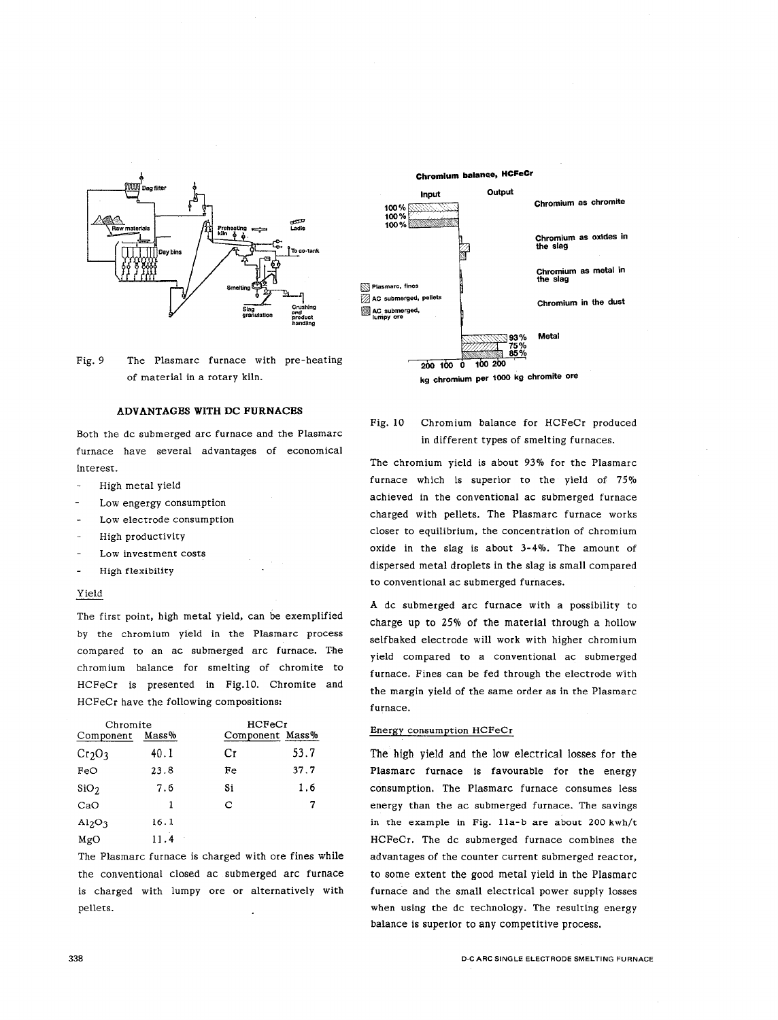

Fig. 9 The Plasmarc furnace with pre-heating of material in a rotary kiln.

## ADVANTAGES WITH DC FURNACES

Both the de submerged arc furnace and the Plasmarc furnace have several advantages of economical interest.

- $\overline{a}$ High metal yield
- Low engergy consumption
- Low electrode consumption
- High productivity
- Low investment costs
- High flexibility

## Yield

The first point, high metal yield, can be exemplified by the chromium yield in the Plasmarc process compared to an ac submerged arc furnace. The chromium balance for smelting of chromite to HCFeCr is presented in Fig.10. Chromite and HCFeCr have the following compositions:

| Chromite                       |       | HCFeCr |                 |  |
|--------------------------------|-------|--------|-----------------|--|
| Component                      | Mass% |        | Component Mass% |  |
| Cr <sub>2</sub> O <sub>3</sub> | 40.1  | Сг     | 53.7            |  |
| FeO                            | 23.8  | Fe     | 37.7            |  |
| SiO <sub>2</sub>               | 7.6   | Si     | 1.6             |  |
| CaO                            | 1     | C      | 7               |  |
| Al <sub>2</sub> O <sub>3</sub> | 16.1  |        |                 |  |
| MgO                            | 11.4  |        |                 |  |

The Plasmarc furnace is charged with ore fines while the conventional closed ac submerged arc furnace is charged with lumpy ore or alternatively with pellets.



#### Fig. 10 Chromium balance for HCFeCr produced in different types of smelting furnaces.

The chromium yield is about 93% for the Plasmarc furnace which is superior to the yield of 75% achieved in the conventional ac submerged furnace charged with pellets. The Plasmarc furnace works closer to equilibrium, the concentration of chromium oxide in the slag is about 3-4%. The amount of dispersed metal droplets in the slag is small compared to conventional ac submerged furnaces.

A de submerged arc furnace with a possibility to charge up to 25% of the material through a hollow selfbaked electrode will work with higher chromium yield compared to a conventional ac submerged furnace. Fines can be fed through the electrode with the margin yield of the same order as in the Plasmarc furnace.

#### Energy consumption HCFeCr

The high yield and the low electrical losses for the Plasmarc furnace is favourable for the energy consumption. The Plasmarc furnace consumes less energy than the ac submerged furnace. The savings in the example in Fig. lla-b are about 200 kwh/t HCFeCr. The de submerged furnace combines the advantages of the counter current submerged reactor, to some extent the good metal yield in the Plasmarc furnace and the small electrical power supply losses when using the de technology. The resulting energy balance is superior to any competitive process.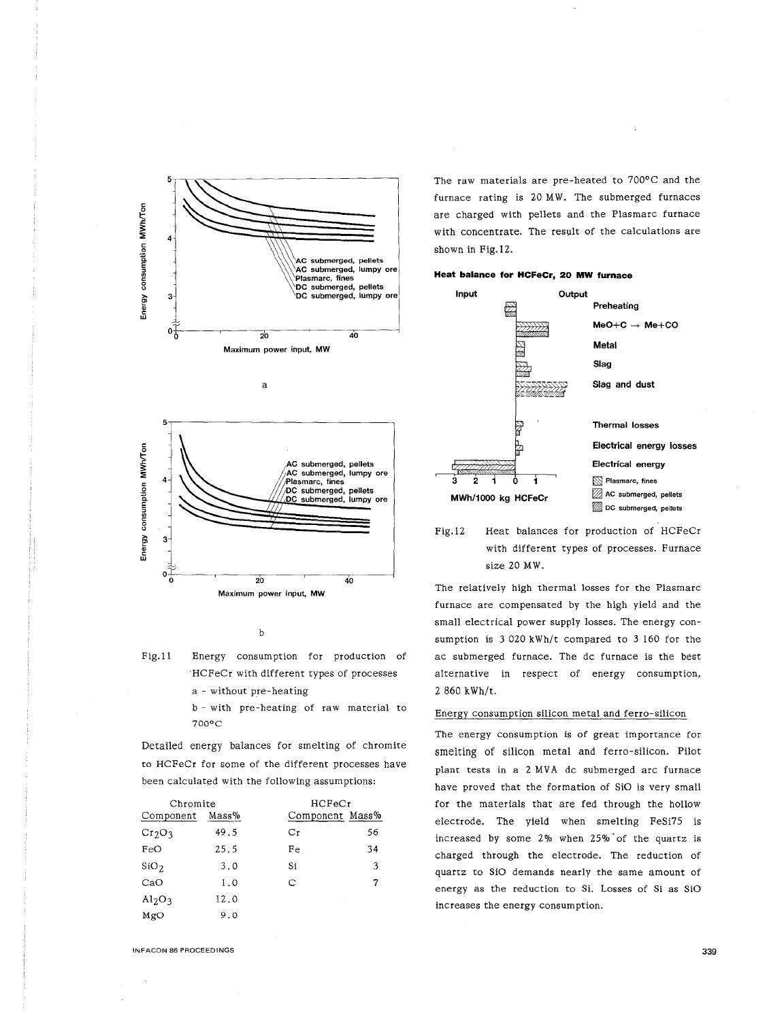

**AC submerged, pellets AC submerged, lumpy ore**  4 **Plasmarc, fines**  rgy consumption DC submerged, pellets submerged, lumpy ore 3 <u>.</u><br>E:  $0\frac{1}{6}$ ?ስ 40 **Maximum power input, MW** 

b

- Fig.11 Energy consumption for production of ·ttCFeCr with different types of processes a - without pre-heating
	- b with pre-heating of raw material to 70o0 c

Detailed energy balances for smelting of chromite to HCFeCr for some of the different processes have been calculated with the following assumptions:

| Chromite | HCFeCr |                 |  |
|----------|--------|-----------------|--|
| Mass%    |        |                 |  |
| 49.5     | Сr     | 56              |  |
| 25.5     | Fe     | 34              |  |
| 3.0      | Si.    | 3               |  |
| 1.0      | C      | 7               |  |
| 12.0     | ×,     |                 |  |
| 9.0      |        |                 |  |
|          |        | Component Mass% |  |

The raw materials are pre-heated to 700°C and the furnace rating is 20 MW. The submerged furnaces are charged with pellets and the Plasmarc furnace with concentrate. The result of the calculations are shown in Fig.12.

## **Heat balance for HCFeCr, 20 MW furnace**



Fig.12 Heat balances for production of HCFeCr with different types of processes. Furnace size 20 MW.

The relatively high thermal losses for the Plasmarc furnace are compensated by the high yield and the small electrical power supply losses. The energy consumption is 3 020 kWh/t compared to 3 160 for the ac submerged furnace. The de furnace is the best alternative in respect of energy consumption, 2 860 kWh/t.

## Energy consumption silicon metal and ferro-silicon

The energy consumption is of great importance for smelting of silicon metal and ferro-silicon. Pilot plant tests in a 2 MVA dc submerged arc furnace have proved that the formation of SiO is very small for the materials that are fed through the hollow electrode. The yield when smelting FeSi75 is increased by some  $2\%$  when  $25\%$  of the quartz is charged through the electrode. The reduction of quartz to SiO demands nearly the same amount of energy as the reduction to Si. Losses of Si as SiO increases the energy consumption.

INFACON 86 PROCEEDINGS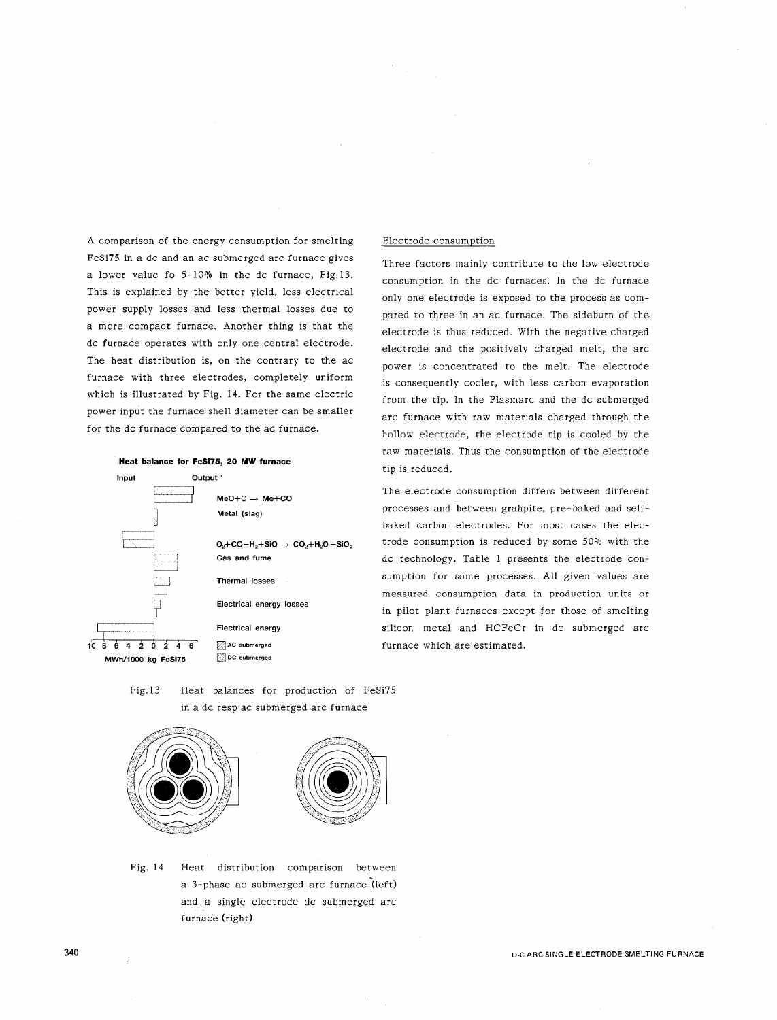A comparison of the energy consumption for smelting FeSi75 in a de and an ac submerged arc furnace gives a lower value fo 5-10% in the de furnace, Fig.13. This is explained by the better yield, less electrical power supply losses and less thermal losses due to a more compact furnace. Another thing is that the de furnace operates with only one central electrode. The heat distribution is, on the contrary to the ac furnace with three electrodes, completely uniform which is illustrated by Fig. 14. For the same electric power input the furnace shell diameter can be smaller for the de furnace compared to the ac furnace.



## **Heat balance for FeSi75, 20 MW furnace**

Fig.13 Heat balances for production of FeSi75 in a de resp ac submerged arc furnace



Fig. 14 Heat distribution comparison between a 3-phase ac submerged arc furnace '(left) and a single electrode de submerged arc furnace (right)

## Electrode consumption

Three factors mainly contribute to the low electrode consumption in the de furnaces. In the de furnace only one electrode is exposed to the process as compared to three in an ac furnace. The sideburn of the electrode is thus reduced. With the negative charged electrode and the positively charged melt, the arc power is concentrated to the melt. The electrode is consequently cooler, with less carbon evaporation from the tip. In the Plasmarc and the de submerged arc furnace with raw materials charged through the hollow electrode, the electrode tip is cooled by the raw materials. Thus the consumption of the electrode tip is reduced.

The electrode consumption differs between different processes and between grahpite, pre- baked and selfbaked carbon electrodes. For most cases the electrode consumption is reduced by some 50% with the de technology. Table 1 presents the electrode consumption for some processes. All given values are measured consumption data in production units or in pilot plant furnaces except for those of smelting silicon metal and HCFeCr in de submerged arc furnace which are estimated.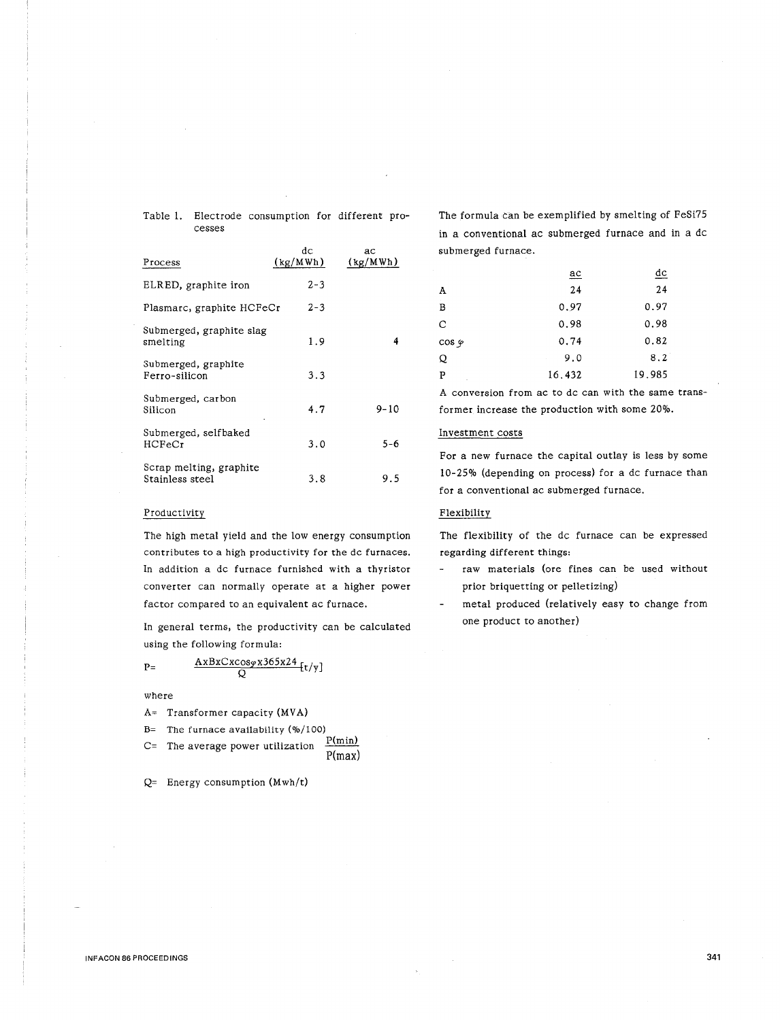Table 1. Electrode consumption for different processes

| Process                                    | dc<br>(kg/MWh) | ac<br>(kg/MWh) |
|--------------------------------------------|----------------|----------------|
| ELRED, graphite iron                       | $2 - 3$        |                |
| Plasmarc, graphite HCFeCr                  | $2 - 3$        |                |
| Submerged, graphite slag<br>smelting       | 1.9            | 4              |
| Submerged, graphite<br>Ferro-silicon       | 3.3            |                |
| Submerged, carbon<br>Silicon               | 4.7            | $9 - 10$       |
| Submerged, selfbaked<br>HCFeCr             | 3.0            | $5 - 6$        |
| Scrap melting, graphite<br>Stainless steel | 3.8            | 9.5            |

## Productivity

The high metal yield and the low energy consumption contributes to a high productivity for the de furnaces. In addition a de furnace furnished with a thyristor converter can normally operate at a higher power factor compared to an equivalent ac furnace.

In general terms, the productivity can be calculated using the following formula:

$$
P = \frac{AxBxCxcos\varphi x365x24}{O}[t/y]
$$

where

A= Transformer capacity (MVA)

B= The furnace availability  $% / 100$ )<br>C= The evenese newes utilization  $P(min)$ 

 $\overline{O}$ 

 $C=$  The average power utilization

P(max)

 $Q=$  Energy consumption  $(Mwh/t)$ 

The formula can be exemplified by smelting of FeSi75 in a conventional ac submerged furnace and in a de submerged furnace.

|                | $\overline{ac}$ | <u>dc</u> |
|----------------|-----------------|-----------|
| A              | 24              | 24        |
| B              | 0.97            | 0.97      |
| C              | 0.98            | 0.98      |
| $\cos \varphi$ | 0.74            | 0.82      |
| Q              | 9.0             | 8.2       |
| P              | 16.432          | 19.985    |

A conversion from ac to de can with the same transformer increase the production with some 20%.

## Investment costs

For a new furnace the capital outlay is less by some 10-25% (depending on process) for a de furnace than for a conventional ac submerged furnace.

## Flexibility

The flexibility of the de furnace can be expressed regarding different things:

- raw materials (ore fines can be used without prior briquetting or pelletizing)
- metal produced (relatively easy to change from  $\overline{a}$ one product to another)